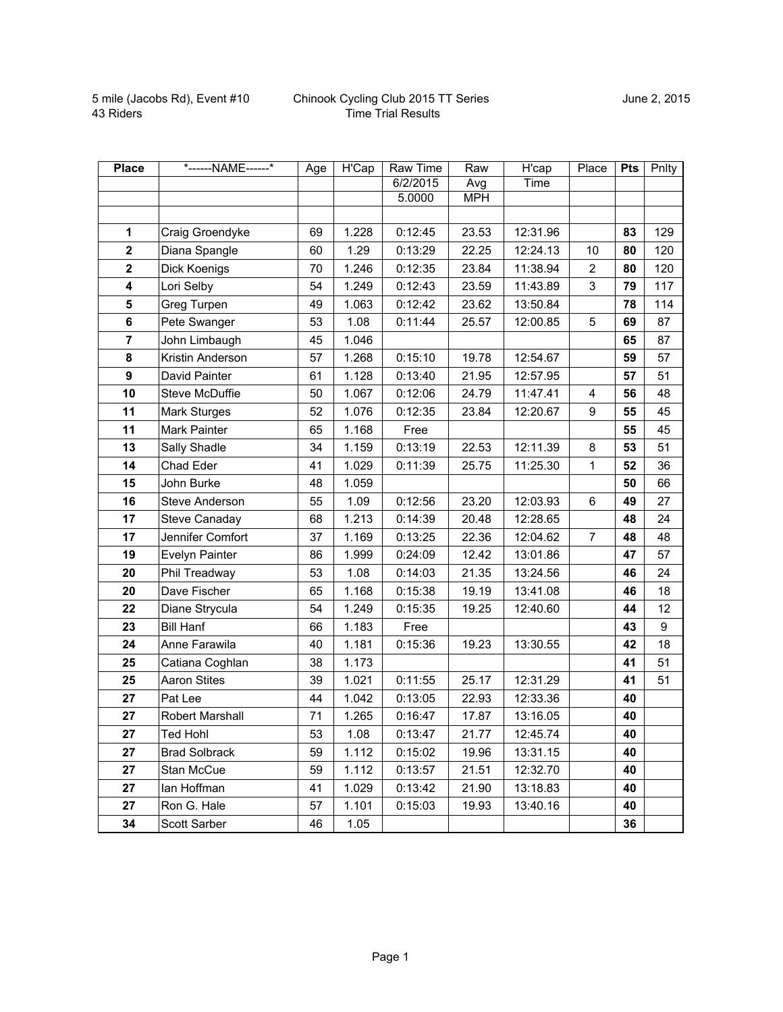| <b>Place</b>            | *------NAME------*   | Age | <b>H'Cap</b> | Raw Time | Raw        | H'cap    | Place          | <b>Pts</b> | Pnlty |
|-------------------------|----------------------|-----|--------------|----------|------------|----------|----------------|------------|-------|
|                         |                      |     |              | 6/2/2015 | Avg        | Time     |                |            |       |
|                         |                      |     |              | 5.0000   | <b>MPH</b> |          |                |            |       |
|                         |                      |     |              |          |            |          |                |            |       |
| $\mathbf 1$             | Craig Groendyke      | 69  | 1.228        | 0:12:45  | 23.53      | 12:31.96 |                | 83         | 129   |
| $\overline{\mathbf{2}}$ | Diana Spangle        | 60  | 1.29         | 0:13:29  | 22.25      | 12:24.13 | 10             | 80         | 120   |
| $\mathbf 2$             | Dick Koenigs         | 70  | 1.246        | 0:12:35  | 23.84      | 11:38.94 | 2              | 80         | 120   |
| 4                       | Lori Selby           | 54  | 1.249        | 0:12:43  | 23.59      | 11:43.89 | 3              | 79         | 117   |
| 5                       | Greg Turpen          | 49  | 1.063        | 0:12:42  | 23.62      | 13:50.84 |                | 78         | 114   |
| 6                       | Pete Swanger         | 53  | 1.08         | 0:11:44  | 25.57      | 12:00.85 | 5              | 69         | 87    |
| $\overline{7}$          | John Limbaugh        | 45  | 1.046        |          |            |          |                | 65         | 87    |
| 8                       | Kristin Anderson     | 57  | 1.268        | 0:15:10  | 19.78      | 12:54.67 |                | 59         | 57    |
| 9                       | David Painter        | 61  | 1.128        | 0:13:40  | 21.95      | 12:57.95 |                | 57         | 51    |
| 10                      | Steve McDuffie       | 50  | 1.067        | 0:12:06  | 24.79      | 11:47.41 | $\overline{4}$ | 56         | 48    |
| 11                      | <b>Mark Sturges</b>  | 52  | 1.076        | 0:12:35  | 23.84      | 12:20.67 | 9              | 55         | 45    |
| 11                      | Mark Painter         | 65  | 1.168        | Free     |            |          |                | 55         | 45    |
| 13                      | Sally Shadle         | 34  | 1.159        | 0:13:19  | 22.53      | 12:11.39 | 8              | 53         | 51    |
| 14                      | Chad Eder            | 41  | 1.029        | 0:11:39  | 25.75      | 11:25.30 | 1              | 52         | 36    |
| 15                      | John Burke           | 48  | 1.059        |          |            |          |                | 50         | 66    |
| 16                      | Steve Anderson       | 55  | 1.09         | 0:12:56  | 23.20      | 12:03.93 | 6              | 49         | 27    |
| 17                      | Steve Canaday        | 68  | 1.213        | 0:14:39  | 20.48      | 12:28.65 |                | 48         | 24    |
| 17                      | Jennifer Comfort     | 37  | 1.169        | 0:13:25  | 22.36      | 12:04.62 | $\overline{7}$ | 48         | 48    |
| 19                      | Evelyn Painter       | 86  | 1.999        | 0:24:09  | 12.42      | 13:01.86 |                | 47         | 57    |
| 20                      | Phil Treadway        | 53  | 1.08         | 0:14:03  | 21.35      | 13:24.56 |                | 46         | 24    |
| 20                      | Dave Fischer         | 65  | 1.168        | 0:15:38  | 19.19      | 13:41.08 |                | 46         | 18    |
| 22                      | Diane Strycula       | 54  | 1.249        | 0:15:35  | 19.25      | 12:40.60 |                | 44         | 12    |
| 23                      | <b>Bill Hanf</b>     | 66  | 1.183        | Free     |            |          |                | 43         | 9     |
| 24                      | Anne Farawila        | 40  | 1.181        | 0:15:36  | 19.23      | 13:30.55 |                | 42         | 18    |
| 25                      | Catiana Coghlan      | 38  | 1.173        |          |            |          |                | 41         | 51    |
| 25                      | Aaron Stites         | 39  | 1.021        | 0:11:55  | 25.17      | 12:31.29 |                | 41         | 51    |
| 27                      | Pat Lee              | 44  | 1.042        | 0:13:05  | 22.93      | 12:33.36 |                | 40         |       |
| 27                      | Robert Marshall      | 71  | 1.265        | 0:16:47  | 17.87      | 13:16.05 |                | 40         |       |
| 27                      | Ted Hohl             | 53  | 1.08         | 0:13:47  | 21.77      | 12:45.74 |                | 40         |       |
| 27                      | <b>Brad Solbrack</b> | 59  | 1.112        | 0:15:02  | 19.96      | 13:31.15 |                | 40         |       |
| 27                      | Stan McCue           | 59  | 1.112        | 0:13:57  | 21.51      | 12:32.70 |                | 40         |       |
| 27                      | lan Hoffman          | 41  | 1.029        | 0:13:42  | 21.90      | 13:18.83 |                | 40         |       |
| 27                      | Ron G. Hale          | 57  | 1.101        | 0:15:03  | 19.93      | 13:40.16 |                | 40         |       |
| 34                      | Scott Sarber         | 46  | 1.05         |          |            |          |                | 36         |       |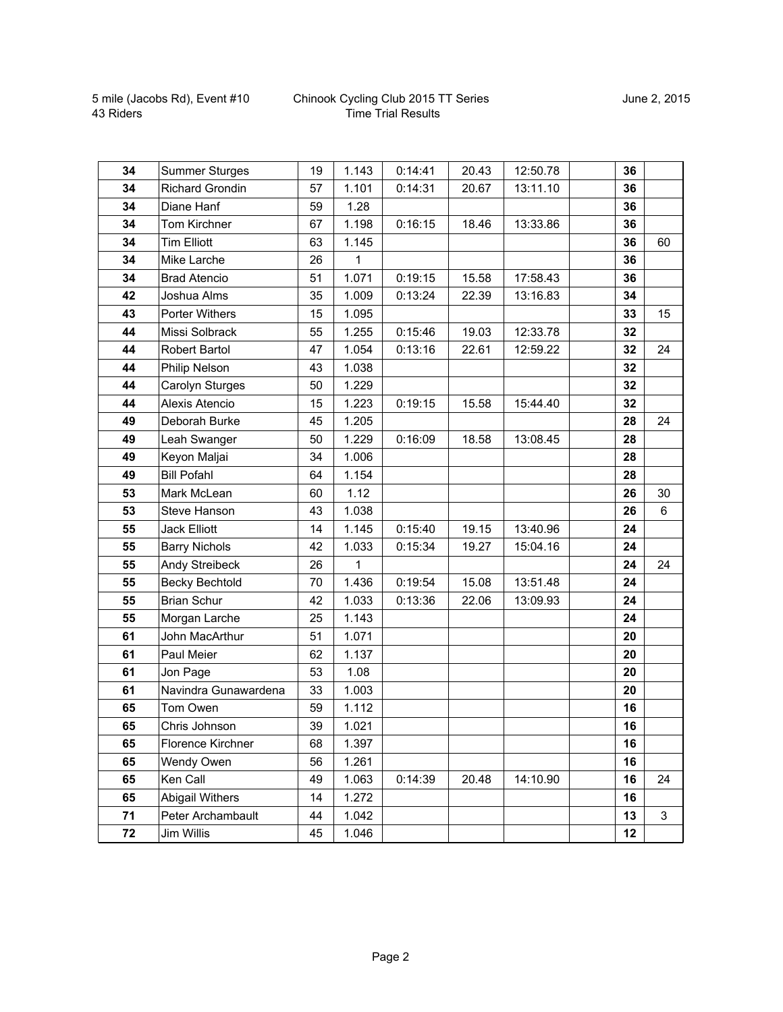## Chinook Cycling Club 2015 TT Series Time Trial Results

| 34 | <b>Summer Sturges</b>  | 19 | 1.143        | 0:14:41 | 20.43 | 12:50.78 | 36 |    |
|----|------------------------|----|--------------|---------|-------|----------|----|----|
| 34 | <b>Richard Grondin</b> | 57 | 1.101        | 0:14:31 | 20.67 | 13:11.10 | 36 |    |
| 34 | Diane Hanf             | 59 | 1.28         |         |       |          | 36 |    |
| 34 | Tom Kirchner           | 67 | 1.198        | 0:16:15 | 18.46 | 13:33.86 | 36 |    |
| 34 | <b>Tim Elliott</b>     | 63 | 1.145        |         |       |          | 36 | 60 |
| 34 | Mike Larche            | 26 | 1            |         |       |          | 36 |    |
| 34 | <b>Brad Atencio</b>    | 51 | 1.071        | 0:19:15 | 15.58 | 17:58.43 | 36 |    |
| 42 | Joshua Alms            | 35 | 1.009        | 0:13:24 | 22.39 | 13:16.83 | 34 |    |
| 43 | <b>Porter Withers</b>  | 15 | 1.095        |         |       |          | 33 | 15 |
| 44 | Missi Solbrack         | 55 | 1.255        | 0:15:46 | 19.03 | 12:33.78 | 32 |    |
| 44 | Robert Bartol          | 47 | 1.054        | 0:13:16 | 22.61 | 12:59.22 | 32 | 24 |
| 44 | Philip Nelson          | 43 | 1.038        |         |       |          | 32 |    |
| 44 | Carolyn Sturges        | 50 | 1.229        |         |       |          | 32 |    |
| 44 | Alexis Atencio         | 15 | 1.223        | 0:19:15 | 15.58 | 15:44.40 | 32 |    |
| 49 | Deborah Burke          | 45 | 1.205        |         |       |          | 28 | 24 |
| 49 | Leah Swanger           | 50 | 1.229        | 0:16:09 | 18.58 | 13:08.45 | 28 |    |
| 49 | Keyon Maljai           | 34 | 1.006        |         |       |          | 28 |    |
| 49 | <b>Bill Pofahl</b>     | 64 | 1.154        |         |       |          | 28 |    |
| 53 | Mark McLean            | 60 | 1.12         |         |       |          | 26 | 30 |
| 53 | Steve Hanson           | 43 | 1.038        |         |       |          | 26 | 6  |
| 55 | <b>Jack Elliott</b>    | 14 | 1.145        | 0:15:40 | 19.15 | 13:40.96 | 24 |    |
| 55 | <b>Barry Nichols</b>   | 42 | 1.033        | 0:15:34 | 19.27 | 15:04.16 | 24 |    |
| 55 | Andy Streibeck         | 26 | $\mathbf{1}$ |         |       |          | 24 | 24 |
| 55 | <b>Becky Bechtold</b>  | 70 | 1.436        | 0:19:54 | 15.08 | 13:51.48 | 24 |    |
| 55 | <b>Brian Schur</b>     | 42 | 1.033        | 0:13:36 | 22.06 | 13:09.93 | 24 |    |
| 55 | Morgan Larche          | 25 | 1.143        |         |       |          | 24 |    |
| 61 | John MacArthur         | 51 | 1.071        |         |       |          | 20 |    |
| 61 | Paul Meier             | 62 | 1.137        |         |       |          | 20 |    |
| 61 | Jon Page               | 53 | 1.08         |         |       |          | 20 |    |
| 61 | Navindra Gunawardena   | 33 | 1.003        |         |       |          | 20 |    |
| 65 | Tom Owen               | 59 | 1.112        |         |       |          | 16 |    |
| 65 | Chris Johnson          | 39 | 1.021        |         |       |          | 16 |    |
| 65 | Florence Kirchner      | 68 | 1.397        |         |       |          | 16 |    |
| 65 | Wendy Owen             | 56 | 1.261        |         |       |          | 16 |    |
| 65 | Ken Call               | 49 | 1.063        | 0:14:39 | 20.48 | 14:10.90 | 16 | 24 |
| 65 | Abigail Withers        | 14 | 1.272        |         |       |          | 16 |    |
| 71 | Peter Archambault      | 44 | 1.042        |         |       |          | 13 | 3  |
| 72 | Jim Willis             | 45 | 1.046        |         |       |          | 12 |    |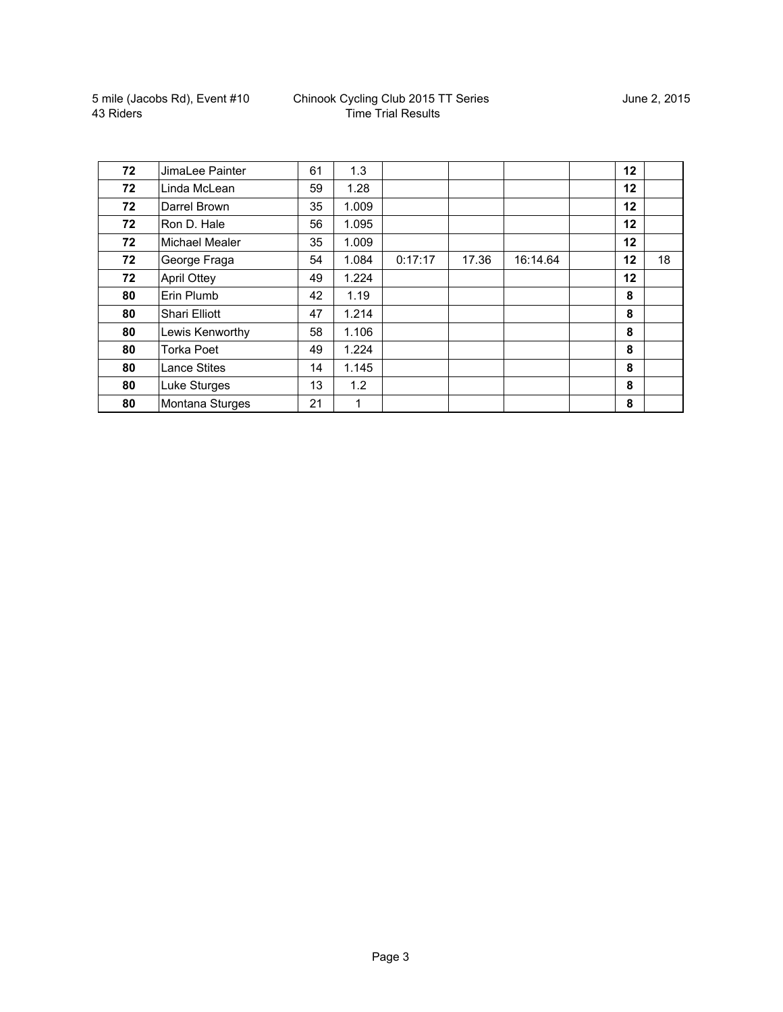| 72 | JimaLee Painter       | 61 | 1.3   |         |       |          | 12 |    |
|----|-----------------------|----|-------|---------|-------|----------|----|----|
| 72 | Linda McLean          | 59 | 1.28  |         |       |          | 12 |    |
| 72 | Darrel Brown          | 35 | 1.009 |         |       |          | 12 |    |
| 72 | Ron D. Hale           | 56 | 1.095 |         |       |          | 12 |    |
| 72 | <b>Michael Mealer</b> | 35 | 1.009 |         |       |          | 12 |    |
| 72 | George Fraga          | 54 | 1.084 | 0:17:17 | 17.36 | 16:14.64 | 12 | 18 |
| 72 | <b>April Ottey</b>    | 49 | 1.224 |         |       |          | 12 |    |
| 80 | Erin Plumb            | 42 | 1.19  |         |       |          | 8  |    |
| 80 | <b>Shari Elliott</b>  | 47 | 1.214 |         |       |          | 8  |    |
| 80 | Lewis Kenworthy       | 58 | 1.106 |         |       |          | 8  |    |
| 80 | Torka Poet            | 49 | 1.224 |         |       |          | 8  |    |
| 80 | <b>Lance Stites</b>   | 14 | 1.145 |         |       |          | 8  |    |
| 80 | Luke Sturges          | 13 | 1.2   |         |       |          | 8  |    |
| 80 | Montana Sturges       | 21 | 1     |         |       |          | 8  |    |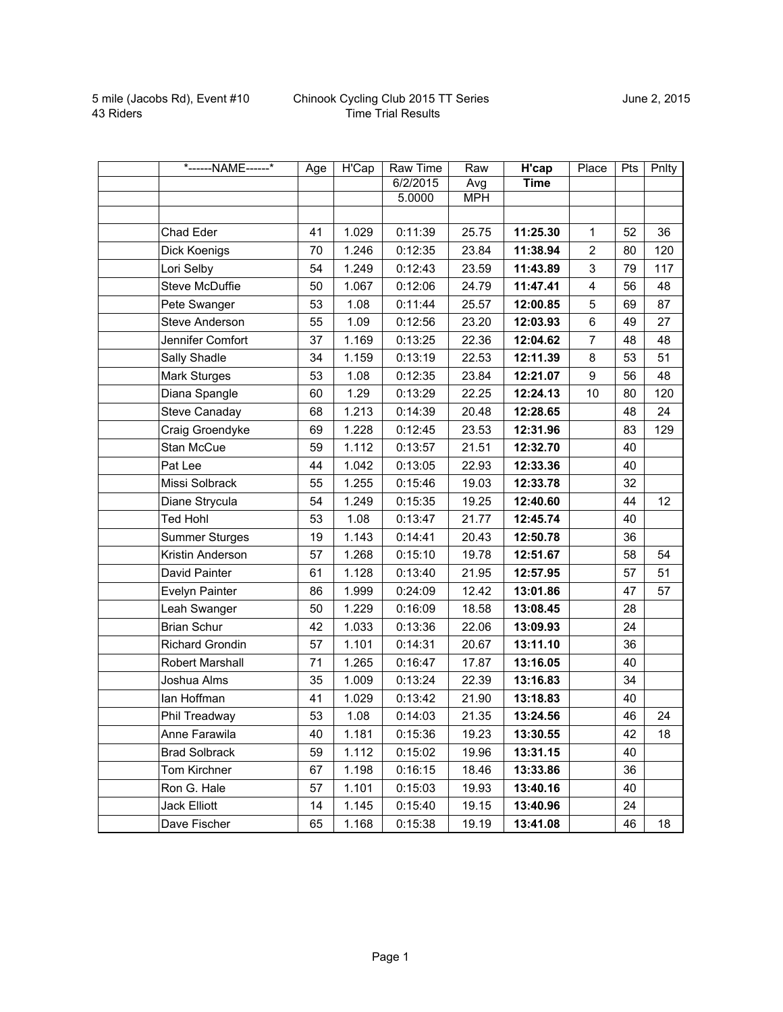| *------NAME------*     | Age | H'Cap | <b>Raw Time</b> | Raw        | H'cap    | Place                   | Pts | Pnlty |
|------------------------|-----|-------|-----------------|------------|----------|-------------------------|-----|-------|
|                        |     |       | 6/2/2015        | Avg        | Time     |                         |     |       |
|                        |     |       | 5.0000          | <b>MPH</b> |          |                         |     |       |
|                        |     |       |                 |            |          |                         |     |       |
| Chad Eder              | 41  | 1.029 | 0:11:39         | 25.75      | 11:25.30 | $\mathbf{1}$            | 52  | 36    |
| Dick Koenigs           | 70  | 1.246 | 0:12:35         | 23.84      | 11:38.94 | $\overline{2}$          | 80  | 120   |
| Lori Selby             | 54  | 1.249 | 0:12:43         | 23.59      | 11:43.89 | 3                       | 79  | 117   |
| <b>Steve McDuffie</b>  | 50  | 1.067 | 0:12:06         | 24.79      | 11:47.41 | $\overline{\mathbf{4}}$ | 56  | 48    |
| Pete Swanger           | 53  | 1.08  | 0:11:44         | 25.57      | 12:00.85 | 5                       | 69  | 87    |
| <b>Steve Anderson</b>  | 55  | 1.09  | 0:12:56         | 23.20      | 12:03.93 | 6                       | 49  | 27    |
| Jennifer Comfort       | 37  | 1.169 | 0:13:25         | 22.36      | 12:04.62 | $\overline{7}$          | 48  | 48    |
| Sally Shadle           | 34  | 1.159 | 0:13:19         | 22.53      | 12:11.39 | 8                       | 53  | 51    |
| Mark Sturges           | 53  | 1.08  | 0:12:35         | 23.84      | 12:21.07 | 9                       | 56  | 48    |
| Diana Spangle          | 60  | 1.29  | 0:13:29         | 22.25      | 12:24.13 | 10                      | 80  | 120   |
| Steve Canaday          | 68  | 1.213 | 0:14:39         | 20.48      | 12:28.65 |                         | 48  | 24    |
| Craig Groendyke        | 69  | 1.228 | 0:12:45         | 23.53      | 12:31.96 |                         | 83  | 129   |
| Stan McCue             | 59  | 1.112 | 0:13:57         | 21.51      | 12:32.70 |                         | 40  |       |
| Pat Lee                | 44  | 1.042 | 0:13:05         | 22.93      | 12:33.36 |                         | 40  |       |
| Missi Solbrack         | 55  | 1.255 | 0:15:46         | 19.03      | 12:33.78 |                         | 32  |       |
| Diane Strycula         | 54  | 1.249 | 0:15:35         | 19.25      | 12:40.60 |                         | 44  | 12    |
| <b>Ted Hohl</b>        | 53  | 1.08  | 0:13:47         | 21.77      | 12:45.74 |                         | 40  |       |
| <b>Summer Sturges</b>  | 19  | 1.143 | 0:14:41         | 20.43      | 12:50.78 |                         | 36  |       |
| Kristin Anderson       | 57  | 1.268 | 0:15:10         | 19.78      | 12:51.67 |                         | 58  | 54    |
| David Painter          | 61  | 1.128 | 0:13:40         | 21.95      | 12:57.95 |                         | 57  | 51    |
| Evelyn Painter         | 86  | 1.999 | 0:24:09         | 12.42      | 13:01.86 |                         | 47  | 57    |
| Leah Swanger           | 50  | 1.229 | 0:16:09         | 18.58      | 13:08.45 |                         | 28  |       |
| <b>Brian Schur</b>     | 42  | 1.033 | 0:13:36         | 22.06      | 13:09.93 |                         | 24  |       |
| <b>Richard Grondin</b> | 57  | 1.101 | 0:14:31         | 20.67      | 13:11.10 |                         | 36  |       |
| Robert Marshall        | 71  | 1.265 | 0:16:47         | 17.87      | 13:16.05 |                         | 40  |       |
| Joshua Alms            | 35  | 1.009 | 0:13:24         | 22.39      | 13:16.83 |                         | 34  |       |
| lan Hoffman            | 41  | 1.029 | 0:13:42         | 21.90      | 13:18.83 |                         | 40  |       |
| Phil Treadway          | 53  | 1.08  | 0:14:03         | 21.35      | 13:24.56 |                         | 46  | 24    |
| Anne Farawila          | 40  | 1.181 | 0:15:36         | 19.23      | 13:30.55 |                         | 42  | 18    |
| <b>Brad Solbrack</b>   | 59  | 1.112 | 0:15:02         | 19.96      | 13:31.15 |                         | 40  |       |
| Tom Kirchner           | 67  | 1.198 | 0:16:15         | 18.46      | 13:33.86 |                         | 36  |       |
| Ron G. Hale            | 57  | 1.101 | 0:15:03         | 19.93      | 13:40.16 |                         | 40  |       |
| Jack Elliott           | 14  | 1.145 | 0:15:40         | 19.15      | 13:40.96 |                         | 24  |       |
| Dave Fischer           | 65  | 1.168 | 0:15:38         | 19.19      | 13:41.08 |                         | 46  | 18    |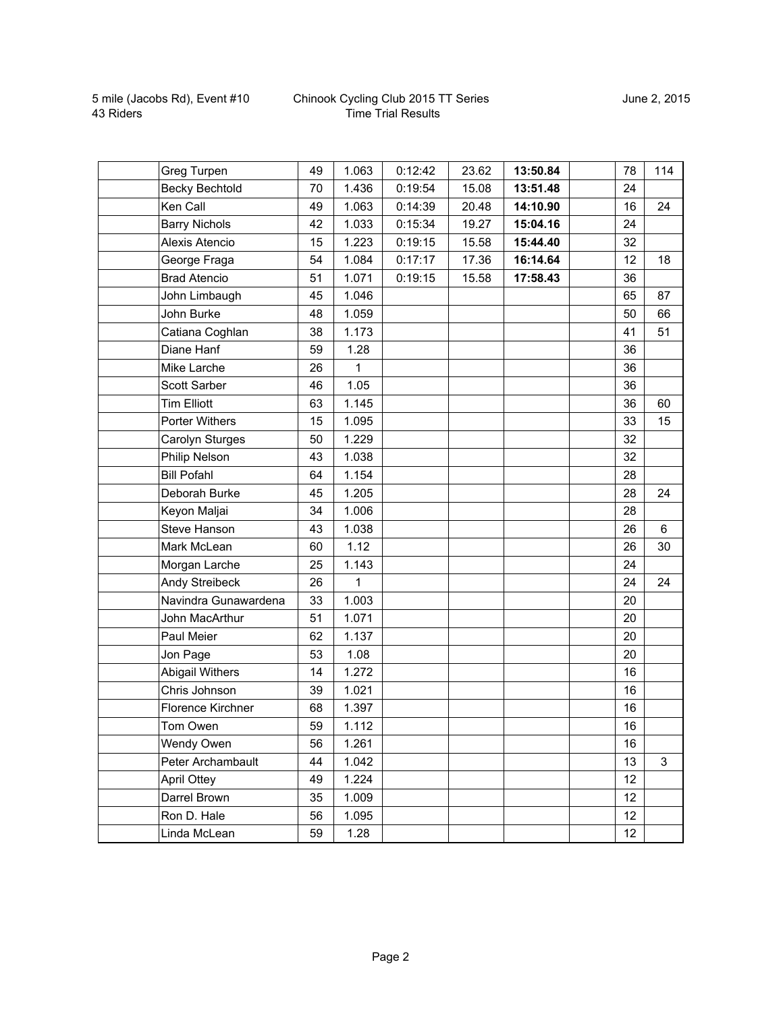## Chinook Cycling Club 2015 TT Series Time Trial Results

| Greg Turpen              | 49 | 1.063 | 0:12:42 | 23.62 | 13:50.84 | 78 | 114         |
|--------------------------|----|-------|---------|-------|----------|----|-------------|
| <b>Becky Bechtold</b>    | 70 | 1.436 | 0:19:54 | 15.08 | 13:51.48 | 24 |             |
| Ken Call                 | 49 | 1.063 | 0:14:39 | 20.48 | 14:10.90 | 16 | 24          |
| <b>Barry Nichols</b>     | 42 | 1.033 | 0:15:34 | 19.27 | 15:04.16 | 24 |             |
| Alexis Atencio           | 15 | 1.223 | 0:19:15 | 15.58 | 15:44.40 | 32 |             |
| George Fraga             | 54 | 1.084 | 0:17:17 | 17.36 | 16:14.64 | 12 | 18          |
| <b>Brad Atencio</b>      | 51 | 1.071 | 0:19:15 | 15.58 | 17:58.43 | 36 |             |
| John Limbaugh            | 45 | 1.046 |         |       |          | 65 | 87          |
| John Burke               | 48 | 1.059 |         |       |          | 50 | 66          |
| Catiana Coghlan          | 38 | 1.173 |         |       |          | 41 | 51          |
| Diane Hanf               | 59 | 1.28  |         |       |          | 36 |             |
| Mike Larche              | 26 | 1     |         |       |          | 36 |             |
| Scott Sarber             | 46 | 1.05  |         |       |          | 36 |             |
| <b>Tim Elliott</b>       | 63 | 1.145 |         |       |          | 36 | 60          |
| Porter Withers           | 15 | 1.095 |         |       |          | 33 | 15          |
| Carolyn Sturges          | 50 | 1.229 |         |       |          | 32 |             |
| Philip Nelson            | 43 | 1.038 |         |       |          | 32 |             |
| <b>Bill Pofahl</b>       | 64 | 1.154 |         |       |          | 28 |             |
| Deborah Burke            | 45 | 1.205 |         |       |          | 28 | 24          |
| Keyon Maljai             | 34 | 1.006 |         |       |          | 28 |             |
| Steve Hanson             | 43 | 1.038 |         |       |          | 26 | 6           |
| Mark McLean              | 60 | 1.12  |         |       |          | 26 | 30          |
| Morgan Larche            | 25 | 1.143 |         |       |          | 24 |             |
| Andy Streibeck           | 26 | 1     |         |       |          | 24 | 24          |
| Navindra Gunawardena     | 33 | 1.003 |         |       |          | 20 |             |
| John MacArthur           | 51 | 1.071 |         |       |          | 20 |             |
| Paul Meier               | 62 | 1.137 |         |       |          | 20 |             |
| Jon Page                 | 53 | 1.08  |         |       |          | 20 |             |
| <b>Abigail Withers</b>   | 14 | 1.272 |         |       |          | 16 |             |
| Chris Johnson            | 39 | 1.021 |         |       |          | 16 |             |
| <b>Florence Kirchner</b> | 68 | 1.397 |         |       |          | 16 |             |
| Tom Owen                 | 59 | 1.112 |         |       |          | 16 |             |
| Wendy Owen               | 56 | 1.261 |         |       |          | 16 |             |
| Peter Archambault        | 44 | 1.042 |         |       |          | 13 | $\mathsf 3$ |
| <b>April Ottey</b>       | 49 | 1.224 |         |       |          | 12 |             |
| Darrel Brown             | 35 | 1.009 |         |       |          | 12 |             |
| Ron D. Hale              | 56 | 1.095 |         |       |          | 12 |             |
| Linda McLean             | 59 | 1.28  |         |       |          | 12 |             |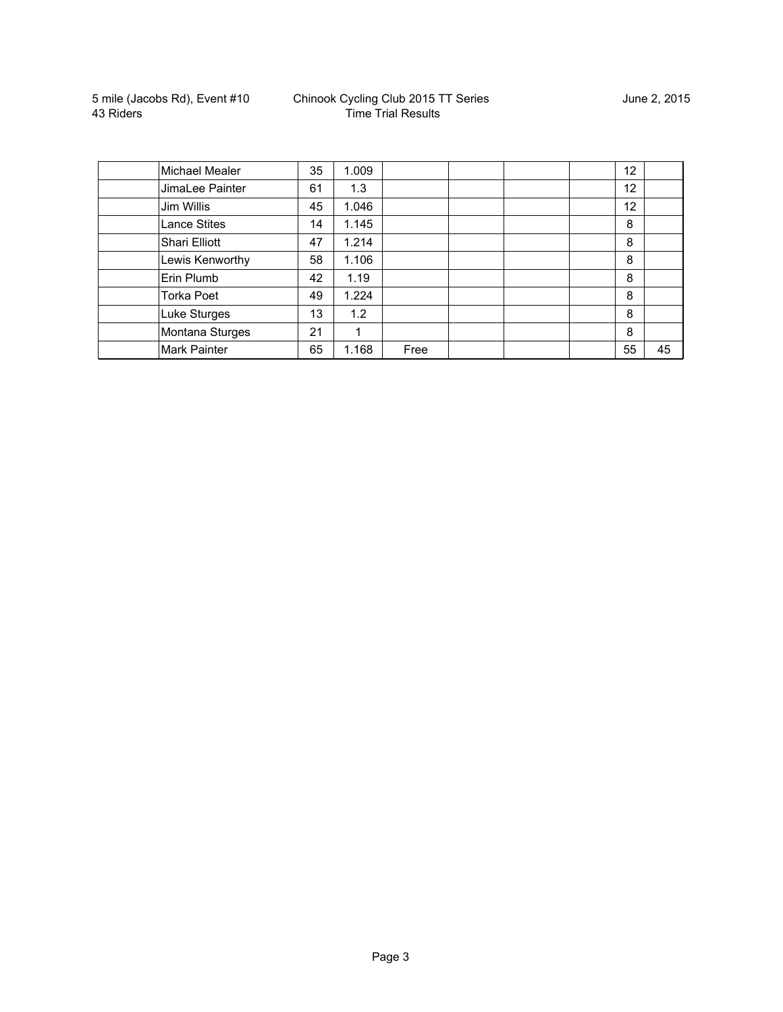| Michael Mealer      | 35 | 1.009 |      |  | 12 |    |
|---------------------|----|-------|------|--|----|----|
| JimaLee Painter     | 61 | 1.3   |      |  | 12 |    |
| Jim Willis          | 45 | 1.046 |      |  | 12 |    |
| <b>Lance Stites</b> | 14 | 1.145 |      |  | 8  |    |
| Shari Elliott       | 47 | 1.214 |      |  | 8  |    |
| Lewis Kenworthy     | 58 | 1.106 |      |  | 8  |    |
| Erin Plumb          | 42 | 1.19  |      |  | 8  |    |
| <b>Torka Poet</b>   | 49 | 1.224 |      |  | 8  |    |
| Luke Sturges        | 13 | 1.2   |      |  | 8  |    |
| Montana Sturges     | 21 | 1     |      |  | 8  |    |
| <b>Mark Painter</b> | 65 | 1.168 | Free |  | 55 | 45 |